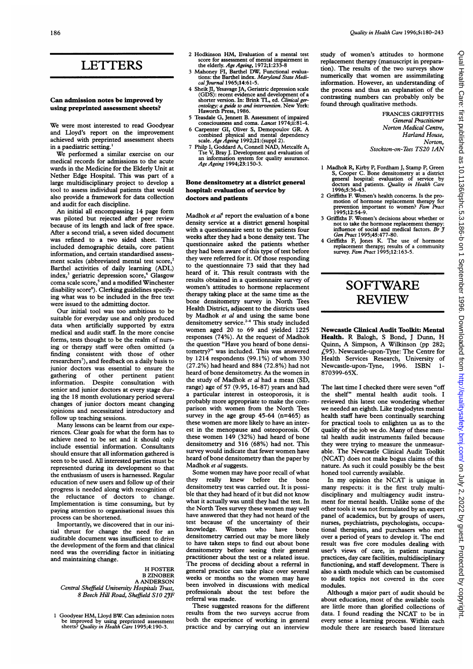### LETTERS

### Can admission notes be improved by using preprinted assessment sheets?

We were most interested to read Goodyear and Lloyd's report on the improvement achieved with preprinted assessment sheets in <sup>a</sup> paediatric setting.'

We performed <sup>a</sup> similar exercise on our medical records for admissions to the acute wards in the Medicine for the Elderly Unit at Nether Edge Hospital. This was part of a large multidisciplinary project to develop a tool to assess individual patients that would also provide a framework for data collection and audit for each discipline.

An initial all encompassing 14 page form was piloted but rejected after peer review because of its length and lack of free space. After a second trial, a seven sided document was refined to a two sided sheet. This included demographic details, core patient information, and certain standardized assessment scales (abbreviated mental test score,<sup>2</sup> Barthel activities of daily learning (ADL) index,<sup>3</sup> geriatric depression score,<sup>4</sup> Glasgow coma scale score,<sup>5</sup> and a modified Winchester disability score<sup>6</sup>). Clerking guidelines specifying what was to be included in the free text were issued to the admitting doctor.

Our initial tool was too ambitious to be suitable for everyday use and only produced data when artificially supported by extra medical and audit staff. In the more concise forms, tests thought to be the realm of nursing or therapy staff were often omitted (a finding consistent with those of other researchers<sup>7</sup>), and feedback on a daily basis to junior doctors was essential to ensure the gathering of other pertinent patient information. Despite consultation with senior and junior doctors at every stage during the 18 month evolutionary period several changes of junior doctors meant changing opinions and necessitated introductory and follow up teaching sessions.

Many lessons can be learnt from our experiences. Clear goals for what the form has to achieve need to be set and it should only include essential information. Consultants should ensure that all information gathered is seen to be used. All interested parties must be represented during its development so that the enthusiasm of users is harnessed. Regular education of new users and follow up of their progress is needed along with recognition of the reluctance of doctors to change. Implementation is time consuming, but by paying attention to organizational issues this process can be shortened.

Importantly, we discovered that in our initial thrust for change the need for an auditable document was insufficient to drive the development of the form and that clinical need was the overriding factor in initiating and maintaining change.

H FOSTER B ZINOBER A ANDERSON Central Sheffield University Hospitals Trust, 8 Beech Hill Road, Sheffield S10 2JF

<sup>1</sup> Goodyear HM, Uloyd BW. Can admission notes be improved by using preprinted assessment<br>sheets? *Quality in Health Care* 1995;4:190-3.

- <sup>2</sup> Hodkinson HM, Evaluation of <sup>a</sup> mental test score for assessment of mental impairment in<br>the elderly. Age Ageing, 1972;1:233-8
- Mahoney FI, Barthel DW, Functional evaluations: the Barthel index. *Maryland State Medi-*<br>*cal Journal* 1965;14:61-5.
- 4 Sheik JI, Yesavage JA, Geriatric depression scale (GDS): recent evidence and development of a shorter version. In: Brink TL, ed. *Clinical ger*ontology: a guide to and intervention. New York: Haworth Press, 1986.
- 5 Teasdale G, Jennett B. Assessment of impaired consciousness and coma. Lancet 1974;ii:81-4.
- <sup>6</sup> Carpenter GI, Oliver S, Demopoulov GR. A combined physical and mental dependency<br>scale. Age Ageing 1992;21:(suppl 2).
- <sup>7</sup> Philp I, Goddard A, Connell NAD, Metcalfe A, Tse V, Bray J. Development and evaluation of an information system for quality assurance. Age Ageing 1994;23: 150-3.

### Bone densitometry at a district general hospital: evaluation of service by doctors and patients

Madhok et al<sup>1</sup> report the evaluation of a bone density service at a district general hospital with a questionnaire sent to the patients four weeks after they had a bone density test. The questionnaire asked the patients whether they had been aware of this type of test before they were referred for it. Of those responding to the questionnaire 73 said that they had heard of it. This result contrasts with the results obtained in a questionnaire survey of women's attitudes to hormone replacement therapy taking place at the same time as the bone densitometry survey in North Tees Health District, adjacent to the districts used by Madhok et al and using the same bone densitometry service.<sup>2-4</sup> This study included women aged 20 to 69 and yielded 1225 responses (74%). At the request of Madhok the question "Have you heard of bone densitometry?" was included. This was answered by 1214 respondents (99.1%) of whom 330 (27.2%) had heard and 884 (72.8%) had not heard of bone densitometry. As the women in the study of Madhok et al had <sup>a</sup> mean (SD, range) age of 57 (9.95, 16-87) years and had a particular interest in osteoporosis, it is probably more appropriate to make the comparison with women from the North Tees survey in the age group  $45-64$  (n=465) as these women are more likely to have an interest in the menopause and osteoporosis. Of these women 149 (32%) had heard of bone densitometry and 316 (68%) had not. This survey would indicate that fewer women have heard of bone densitometry than the paper by Madhok et al suggests.

Some women may have poor recall of what<br>they really knew before the bone really knew before the bone densitometry test was carried out. It is possible that they had heard of it but did not know what it actually was until they had the test. In the North Tees survey these women may well have answered that they had not heard of the test because of the uncertainty of their<br>knowledge. Women who have hone Women who have bone densitometry carried out may be more likely to have taken steps to find out about bone densitometry before seeing their general practitioner about the test or a related issue. The process of deciding about a referral in general practice can take place over several weeks or months so the women may have been involved in discussions with medical professionals about the test before the referral was made.

These suggested reasons for the different results from the two surveys accrue from both the experience of working in general practice and by carrying out an interview

study of women's attitudes to hormone replacement therapy (manuscript in preparation). The results of the two surveys show numerically that women are assimmilating information. However, an understanding of the process and thus an explanation of the contrasting numbers can probably only be found through qualitative methods.

> FRANCES GRIFFITHS General Practitioner Norton Medical Centre, Harland House, Norton, Stockton-on-Tees TS20 JAN

- 1 Madhok R, Kirby P, Fordham J, Stamp P, Green<br>S, Cooper C. Bone densitometry at a district<br>general hospital: evaluation of service by<br>doctors and patients. Quality in Health Care<br>1996;5:36-43.
- 2 Griffiths F. Women's health concerns. Is the promotion of hormone replacement therapy for<br>prevention important to women? Fam Pract<br>1995;12:54-9.
- 3 Griffiths F. Women's decisions about whether or not to take the hormone replacement therapy: influence of social and medical factors. Br  $\ddot{J}$  Gen Pract 1995;45:477-80.
- 4 Griffiths F, Jones K. The use of hormone replacement therapy; results of a community survey. Fam Pract 1995;12:163-5.

# SOFTWARE REVIEW

Newcastle Clinical Audit Toolkit: Mental Health. R Balogh, <sup>S</sup> Bond, <sup>J</sup> Dunn, H Quinn, A Simpson, A Wilkinson (pp 282; £95). Newcastle-upon-Tyne: The Centre for Health Services Research, University of Newcastle-upon-Tyne, 1996. ISBN 870399-65X.

The last time <sup>I</sup> checked there were seven "off the shelf" mental health audit tools. <sup>I</sup> reviewed this latest one wondering whether we needed an eighth. Like troglodytes mental health staff have been continually searching for practical tools to enlighten us as to the quality of the job we do. Many of these mental health audit instruments failed because they were trying to measure the unmeasurable. The Newcastle Clinical Audit Toolkit (NCAT) does not make bogus claims of this nature. As such it could possibly be the best honed tool currently available.

In my opinion the NCAT is unique in many respects: it is the first truly multidisciplinary and multiagency audit instrument for mental health. Unlike some of the other tools it was not formulated by an expert panel of academics, but by groups of users, nurses, psychiatrists, psychologists, occupational therapists, and purchasers who met over a period of years to develop it. The end result was five core modules dealing with user's views of care, in patient nursing practices, day care facilities, multidisciplinary functioning, and staff development. There is also a sixth module which can be customised to audit topics not covered in the core modules.

Although a major part of audit should be about education, most of the available tools are little more than glorified collections of data. <sup>I</sup> found reading the NCAT to be in every sense a learning process. Within each module there are research based literature